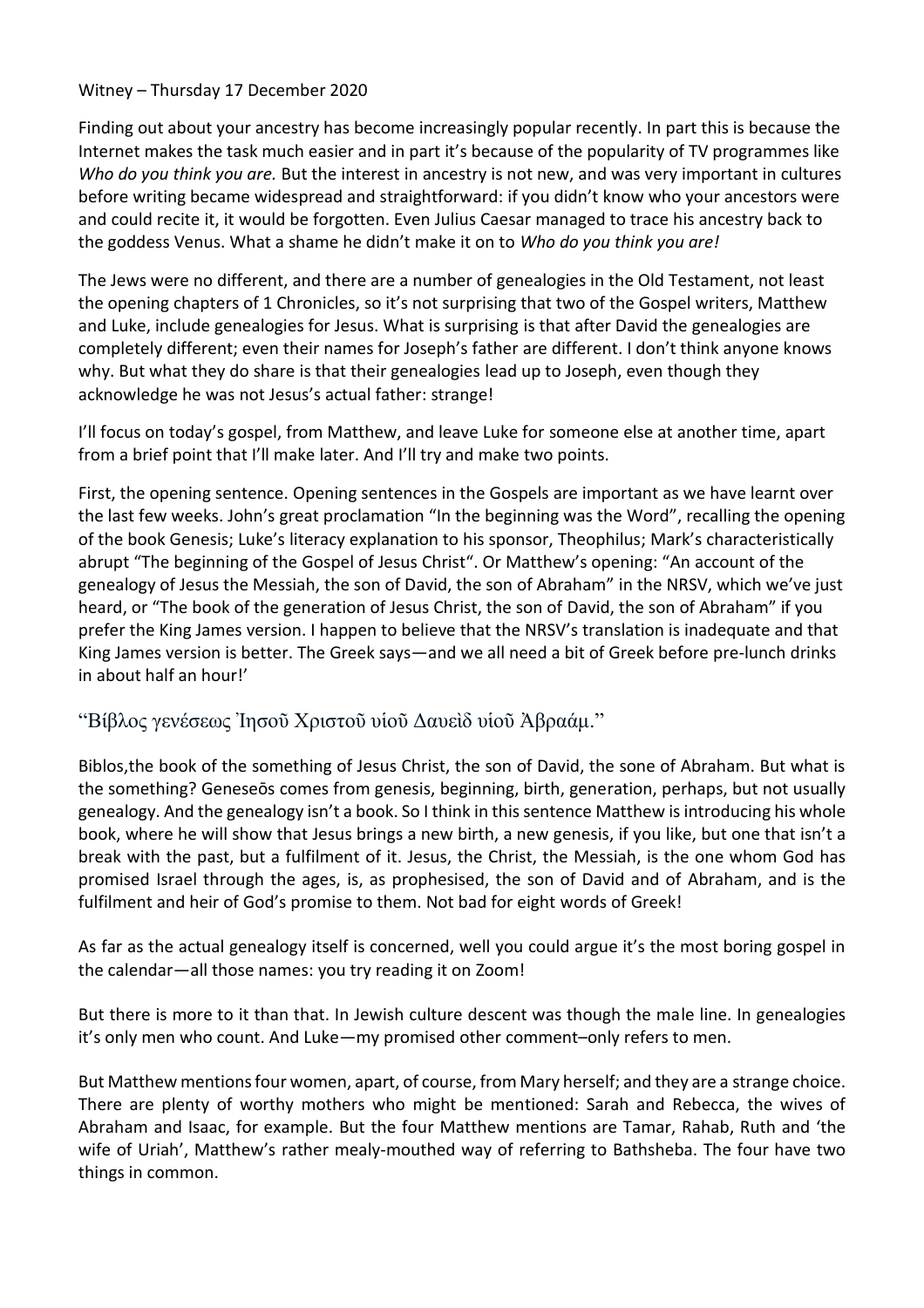## Witney – Thursday 17 December 2020

Finding out about your ancestry has become increasingly popular recently. In part this is because the Internet makes the task much easier and in part it's because of the popularity of TV programmes like *Who do you think you are.* But the interest in ancestry is not new, and was very important in cultures before writing became widespread and straightforward: if you didn't know who your ancestors were and could recite it, it would be forgotten. Even Julius Caesar managed to trace his ancestry back to the goddess Venus. What a shame he didn't make it on to *Who do you think you are!*

The Jews were no different, and there are a number of genealogies in the Old Testament, not least the opening chapters of 1 Chronicles, so it's not surprising that two of the Gospel writers, Matthew and Luke, include genealogies for Jesus. What is surprising is that after David the genealogies are completely different; even their names for Joseph's father are different. I don't think anyone knows why. But what they do share is that their genealogies lead up to Joseph, even though they acknowledge he was not Jesus's actual father: strange!

I'll focus on today's gospel, from Matthew, and leave Luke for someone else at another time, apart from a brief point that I'll make later. And I'll try and make two points.

First, the opening sentence. Opening sentences in the Gospels are important as we have learnt over the last few weeks. John's great proclamation "In the beginning was the Word", recalling the opening of the book Genesis; Luke's literacy explanation to his sponsor, Theophilus; Mark's characteristically abrupt "The beginning of the Gospel of Jesus Christ". Or Matthew's opening: "An account of the genealogy of Jesus the Messiah, the son of David, the son of Abraham" in the NRSV, which we've just heard, or "The book of the generation of Jesus Christ, the son of David, the son of Abraham" if you prefer the King James version. I happen to believe that the NRSV's translation is inadequate and that King James version is better. The Greek says—and we all need a bit of Greek before pre-lunch drinks in about half an hour!'

## "Βίβλος γενέσεως Ἰησοῦ Χριστοῦ υἱοῦ Δαυεὶδ υἱοῦ Ἀβραάμ."

Biblos,the book of the something of Jesus Christ, the son of David, the sone of Abraham. But what is the something? Geneseōs comes from genesis, beginning, birth, generation, perhaps, but not usually genealogy. And the genealogy isn't a book. So I think in this sentence Matthew is introducing his whole book, where he will show that Jesus brings a new birth, a new genesis, if you like, but one that isn't a break with the past, but a fulfilment of it. Jesus, the Christ, the Messiah, is the one whom God has promised Israel through the ages, is, as prophesised, the son of David and of Abraham, and is the fulfilment and heir of God's promise to them. Not bad for eight words of Greek!

As far as the actual genealogy itself is concerned, well you could argue it's the most boring gospel in the calendar—all those names: you try reading it on Zoom!

But there is more to it than that. In Jewish culture descent was though the male line. In genealogies it's only men who count. And Luke—my promised other comment–only refers to men.

But Matthew mentions four women, apart, of course, from Mary herself; and they are a strange choice. There are plenty of worthy mothers who might be mentioned: Sarah and Rebecca, the wives of Abraham and Isaac, for example. But the four Matthew mentions are Tamar, Rahab, Ruth and 'the wife of Uriah', Matthew's rather mealy-mouthed way of referring to Bathsheba. The four have two things in common.